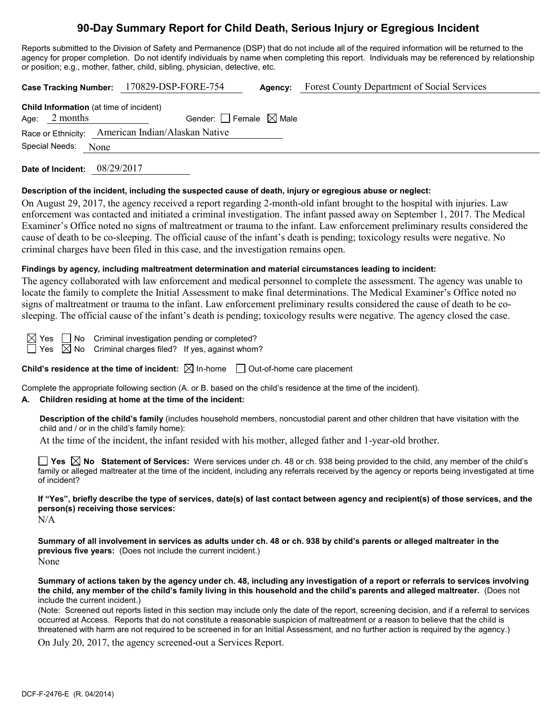# **90-Day Summary Report for Child Death, Serious Injury or Egregious Incident**

Reports submitted to the Division of Safety and Permanence (DSP) that do not include all of the required information will be returned to the agency for proper completion. Do not identify individuals by name when completing this report. Individuals may be referenced by relationship or position; e.g., mother, father, child, sibling, physician, detective, etc.

|                                                   | Case Tracking Number: 170829-DSP-FORE-754 | Agency: | Forest County Department of Social Services |  |  |  |
|---------------------------------------------------|-------------------------------------------|---------|---------------------------------------------|--|--|--|
| Child Information (at time of incident)           |                                           |         |                                             |  |  |  |
| Age: $2$ months                                   | Gender: $ $ Female $\boxtimes$ Male       |         |                                             |  |  |  |
| Race or Ethnicity: American Indian/Alaskan Native |                                           |         |                                             |  |  |  |
| Special Needs: None                               |                                           |         |                                             |  |  |  |
|                                                   |                                           |         |                                             |  |  |  |

**Date of Incident:** 08/29/2017

#### **Description of the incident, including the suspected cause of death, injury or egregious abuse or neglect:**

On August 29, 2017, the agency received a report regarding 2-month-old infant brought to the hospital with injuries. Law enforcement was contacted and initiated a criminal investigation. The infant passed away on September 1, 2017. The Medical Examiner's Office noted no signs of maltreatment or trauma to the infant. Law enforcement preliminary results considered the cause of death to be co-sleeping. The official cause of the infant's death is pending; toxicology results were negative. No criminal charges have been filed in this case, and the investigation remains open.

# **Findings by agency, including maltreatment determination and material circumstances leading to incident:**

The agency collaborated with law enforcement and medical personnel to complete the assessment. The agency was unable to locate the family to complete the Initial Assessment to make final determinations. The Medical Examiner's Office noted no signs of maltreatment or trauma to the infant. Law enforcement preliminary results considered the cause of death to be cosleeping. The official cause of the infant's death is pending; toxicology results were negative. The agency closed the case.

 $\boxtimes$  Yes  $\Box$  No Criminal investigation pending or completed?  $\Box$  Yes  $\boxtimes$  No Criminal charges filed? If yes, against whom?

**Child's residence at the time of incident:**  $\boxtimes$  In-home  $\Box$  Out-of-home care placement

Complete the appropriate following section (A. or B. based on the child's residence at the time of the incident).

# **A. Children residing at home at the time of the incident:**

**Description of the child's family** (includes household members, noncustodial parent and other children that have visitation with the child and / or in the child's family home):

At the time of the incident, the infant resided with his mother, alleged father and 1-year-old brother.

**Yes No Statement of Services:** Were services under ch. 48 or ch. 938 being provided to the child, any member of the child's family or alleged maltreater at the time of the incident, including any referrals received by the agency or reports being investigated at time of incident?

**If "Yes", briefly describe the type of services, date(s) of last contact between agency and recipient(s) of those services, and the person(s) receiving those services:**

N/A

**Summary of all involvement in services as adults under ch. 48 or ch. 938 by child's parents or alleged maltreater in the previous five years:** (Does not include the current incident.) None

**Summary of actions taken by the agency under ch. 48, including any investigation of a report or referrals to services involving the child, any member of the child's family living in this household and the child's parents and alleged maltreater.** (Does not include the current incident.)

(Note: Screened out reports listed in this section may include only the date of the report, screening decision, and if a referral to services occurred at Access. Reports that do not constitute a reasonable suspicion of maltreatment or a reason to believe that the child is threatened with harm are not required to be screened in for an Initial Assessment, and no further action is required by the agency.)

On July 20, 2017, the agency screened-out a Services Report.